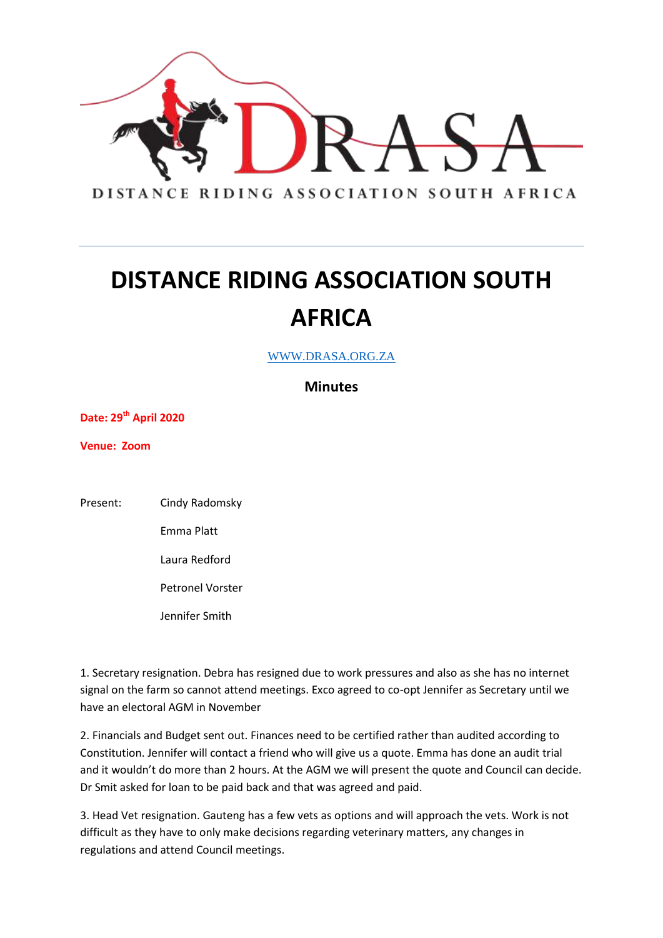

## **DISTANCE RIDING ASSOCIATION SOUTH AFRICA**

WWW.DRASA.ORG.ZA

**Minutes**

**Date: 29 th April 2020**

**Venue: Zoom**

Present: Cindy Radomsky

Emma Platt

Laura Redford

Petronel Vorster

Jennifer Smith

1. Secretary resignation. Debra has resigned due to work pressures and also as she has no internet signal on the farm so cannot attend meetings. Exco agreed to co-opt Jennifer as Secretary until we have an electoral AGM in November

2. Financials and Budget sent out. Finances need to be certified rather than audited according to Constitution. Jennifer will contact a friend who will give us a quote. Emma has done an audit trial and it wouldn't do more than 2 hours. At the AGM we will present the quote and Council can decide. Dr Smit asked for loan to be paid back and that was agreed and paid.

3. Head Vet resignation. Gauteng has a few vets as options and will approach the vets. Work is not difficult as they have to only make decisions regarding veterinary matters, any changes in regulations and attend Council meetings.